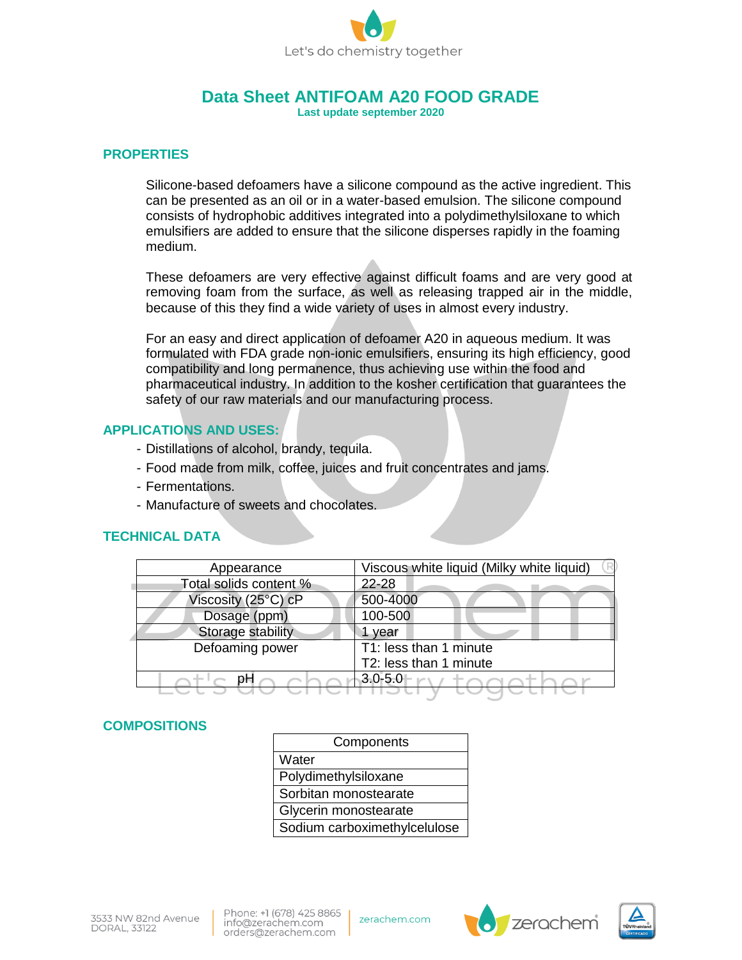

# **Data Sheet ANTIFOAM A20 FOOD GRADE**

**Last update september 2020**

#### **PROPERTIES**

Silicone-based defoamers have a silicone compound as the active ingredient. This can be presented as an oil or in a water-based emulsion. The silicone compound consists of hydrophobic additives integrated into a polydimethylsiloxane to which emulsifiers are added to ensure that the silicone disperses rapidly in the foaming medium.

These defoamers are very effective against difficult foams and are very good at removing foam from the surface, as well as releasing trapped air in the middle, because of this they find a wide variety of uses in almost every industry.

For an easy and direct application of defoamer A20 in aqueous medium. It was formulated with FDA grade non-ionic emulsifiers, ensuring its high efficiency, good compatibility and long permanence, thus achieving use within the food and pharmaceutical industry. In addition to the kosher certification that guarantees the safety of our raw materials and our manufacturing process.

## **APPLICATIONS AND USES:**

- Distillations of alcohol, brandy, tequila.
- Food made from milk, coffee, juices and fruit concentrates and jams.
- Fermentations.
- Manufacture of sweets and chocolates.

# **TECHNICAL DATA**

| Appearance             | Viscous white liquid (Milky white liquid) |
|------------------------|-------------------------------------------|
| Total solids content % | 22-28                                     |
| Viscosity (25°C) cP    | 500-4000                                  |
| Dosage (ppm)           | 100-500                                   |
| Storage stability      | vear                                      |
| Defoaming power        | T1: less than 1 minute                    |
|                        | T2: less than 1 minute                    |
|                        | $3.0 - 5.0$                               |
|                        |                                           |

# **COMPOSITIONS**

| Components                                    |  |
|-----------------------------------------------|--|
| Water                                         |  |
| Polydimethylsiloxane<br>Sorbitan monostearate |  |
|                                               |  |
| Sodium carboximethylcelulose                  |  |

Phone: +1 (678) 425 8865 info@zerachem.com orders@zerachem.com